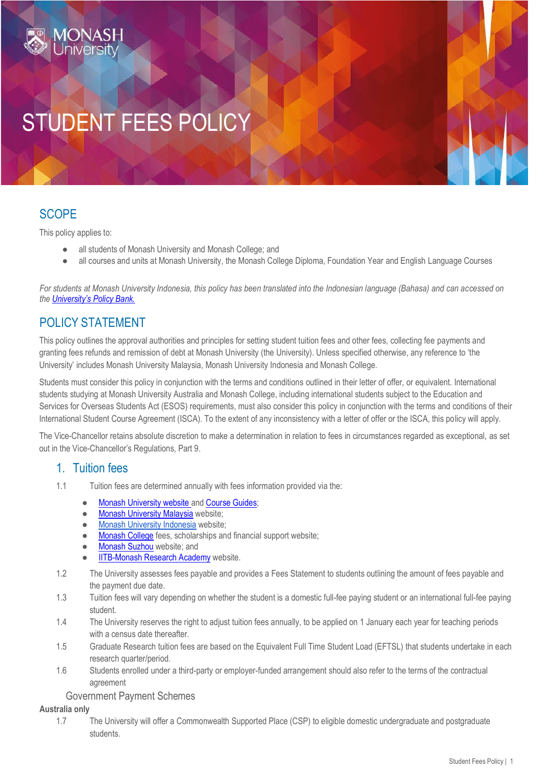# STUDENT FEES POLICY

## **SCOPE**

This policy applies to:

- all students of Monash University and Monash College; and
- all courses and units at Monash University, the Monash College Diploma, Foundation Year and English Language Courses

*For students at Monash University Indonesia, this policy has been translated into the Indonesian language (Bahasa) and can accessed on the [University's Policy Bank.](https://www.monash.edu/policy-bank/policies-and-procedures/monash-university-indonesia)*

## POLICY STATEMENT

This policy outlines the approval authorities and principles for setting student tuition fees and other fees, collecting fee payments and granting fees refunds and remission of debt at Monash University (the University). Unless specified otherwise, any reference to 'the University' includes Monash University Malaysia, Monash University Indonesia and Monash College.

Students must consider this policy in conjunction with the terms and conditions outlined in their letter of offer, or equivalent. International students studying at Monash University Australia and Monash College, including international students subject to the Education and Services for Overseas Students Act (ESOS) requirements, must also consider this policy in conjunction with the terms and conditions of their International Student Course Agreement (ISCA). To the extent of any inconsistency with a letter of offer or the ISCA, this policy will apply.

The Vice-Chancellor retains absolute discretion to make a determination in relation to fees in circumstances regarded as exceptional, as set out in the Vice-Chancellor's Regulations, Part 9.

## 1. Tuition fees

- 1.1 Tuition fees are determined annually with fees information provided via the:
	- **[Monash University website a](https://www.monash.edu/fees)[nd Course Guides;](https://www.monash.edu/study/courses)**
	- [Monash University Malaysia](https://www.monash.edu.my/study/undergraduate/fees) [w](https://www.monash.edu.my/study/undergraduate/fees)ebsite;
	- [Monash University Indonesia](https://www.monash.edu/about/our-locations/indonesia-campus) website:
	- [Monash College](https://www.monashcollege.edu.au/current-students/student-administration/fees-payment) [f](https://www.monashcollege.edu.au/current-students/student-administration/fees-payment)ees, scholarships and financial support website;
	- [Monash Suzhou](https://www.monash.edu/suzhou/study-at-suzhou/fees-and-scholarships) [w](https://www.monash.edu/suzhou/study-at-suzhou/fees-and-scholarships)ebsite; and
	- **[IITB-Monash Research Academy](http://www.iitbmonash.org/application-process/fees-structure-and-scholarship/) [w](http://www.iitbmonash.org/application-process/fees-structure-and-scholarship/)ebsite.**
- 1.2 The University assesses fees payable and provides a Fees Statement to students outlining the amount of fees payable and the payment due date.
- 1.3 Tuition fees will vary depending on whether the student is a domestic full-fee paying student or an international full-fee paying student.
- 1.4 The University reserves the right to adjust tuition fees annually, to be applied on 1 January each year for teaching periods with a census date thereafter.
- 1.5 Graduate Research tuition fees are based on the Equivalent Full Time Student Load (EFTSL) that students undertake in each research quarter/period.
- 1.6 Students enrolled under a third-party or employer-funded arrangement should also refer to the terms of the contractual agreement

## Government Payment Schemes

#### **Australia only**

1.7 The University will offer a Commonwealth Supported Place (CSP) to eligible domestic undergraduate and postgraduate students.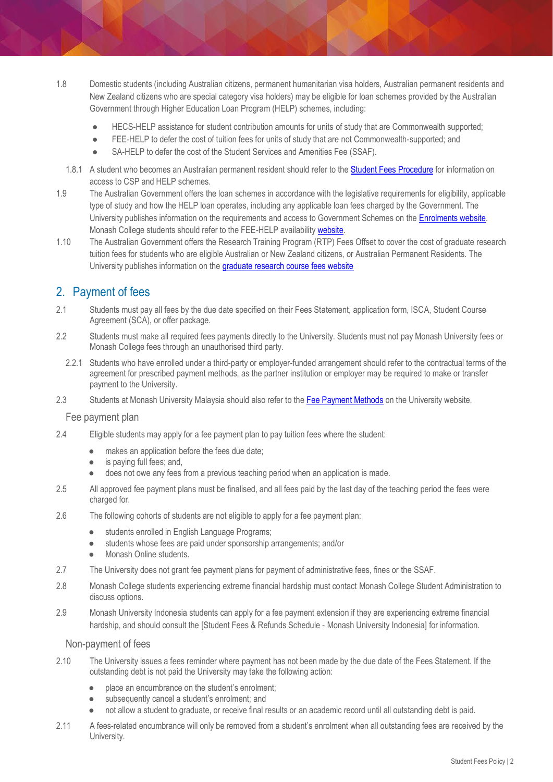- 1.8 Domestic students (including Australian citizens, permanent humanitarian visa holders, Australian permanent residents and New Zealand citizens who are special category visa holders) may be eligible for loan schemes provided by the Australian Government through Higher Education Loan Program (HELP) schemes, including:
	- HECS-HELP assistance for student contribution amounts for units of study that are Commonwealth supported;
	- FEE-HELP to defer the cost of tuition fees for units of study that are not Commonwealth-supported; and
	- SA-HELP to defer the cost of the Student Services and Amenities Fee (SSAF).
	- 1.8.1 A student who becomes an Australian permanent resident should refer to t[he Student Fees Procedure](https://www.monash.edu/__data/assets/pdf_file/0007/2181994/Student-Fees-Procedure.pdf) for information on access to CSP and HELP schemes.
- 1.9 The Australian Government offers the loan schemes in accordance with the legislative requirements for eligibility, applicable type of study and how the HELP loan operates, including any applicable loan fees charged by the Government. The University publishes information on the requirements and access to Government Schemes on the **Enrolments website**. Monash College students should refer to the FEE-HELP availability [website.](https://www.monashcollege.edu.au/how-to-apply/domestic-students)
- 1.10 The Australian Government offers the Research Training Program (RTP) Fees Offset to cover the cost of graduate research tuition fees for students who are eligible Australian or New Zealand citizens, or Australian Permanent Residents. The University publishes information on th[e graduate research course fees website](https://www.monash.edu/graduate-research/future-students/fees)

## 2. Payment of fees

- 2.1 Students must pay all fees by the due date specified on their Fees Statement, application form, ISCA, Student Course Agreement (SCA), or offer package.
- 2.2 Students must make all required fees payments directly to the University. Students must not pay Monash University fees or Monash College fees through an unauthorised third party.
	- 2.2.1 Students who have enrolled under a third-party or employer-funded arrangement should refer to the contractual terms of the agreement for prescribed payment methods, as the partner institution or employer may be required to make or transfer payment to the University.
- 2.3 Students at Monash University Malaysia should also refer to t[he Fee Payment Methods](https://www.monash.edu.my/study/apply/application-form/fee-payment-methods) on the University website.

## Fee payment plan

- 2.4 Eligible students may apply for a fee payment plan to pay tuition fees where the student:
	- makes an application before the fees due date;
	- is paying full fees; and,
	- does not owe any fees from a previous teaching period when an application is made.
- 2.5 All approved fee payment plans must be finalised, and all fees paid by the last day of the teaching period the fees were charged for.
- 2.6 The following cohorts of students are not eligible to apply for a fee payment plan:
	- students enrolled in English Language Programs;
	- students whose fees are paid under sponsorship arrangements; and/or
	- Monash Online students.
- 2.7 The University does not grant fee payment plans for payment of administrative fees, fines or the SSAF.
- 2.8 Monash College students experiencing extreme financial hardship must contact [Monash College Student Administration](mailto:student.admin@monashcollege.edu.au) to discuss options.
- 2.9 Monash University Indonesia students can apply for a fee payment extension if they are experiencing extreme financial hardship, and should consult the [Student Fees & Refunds Schedule - Monash University Indonesia] for information.

#### Non-payment of fees

- 2.10 The University issues a fees reminder where payment has not been made by the due date of the Fees Statement. If the outstanding debt is not paid the University may take the following action:
	- place an encumbrance on the student's enrolment:
	- subsequently cancel a student's enrolment; and
	- not allow a student to graduate, or receive final results or an academic record until all outstanding debt is paid.
- 2.11 A fees-related encumbrance will only be removed from a student's enrolment when all outstanding fees are received by the University.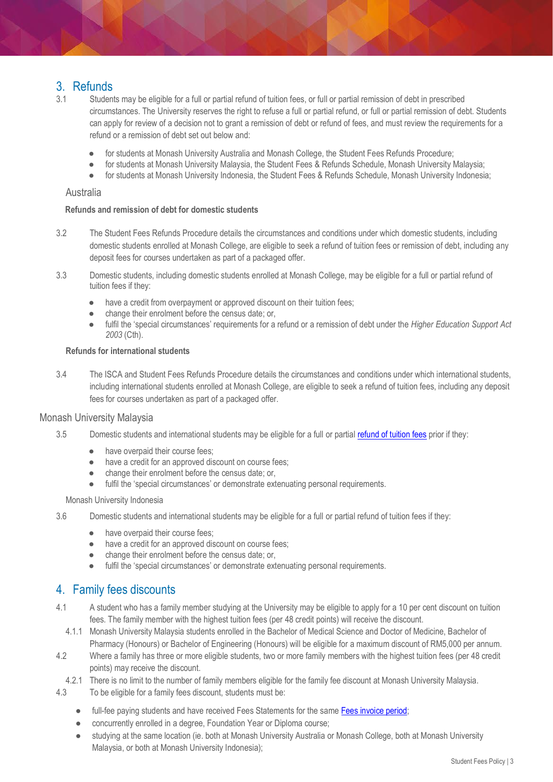## 3. Refunds

- 3.1 Students may be eligible for a full or partial refund of tuition fees, or full or partial remission of debt in prescribed circumstances. The University reserves the right to refuse a full or partial refund, or full or partial remission of debt. Students can apply for review of a decision not to grant a remission of debt or refund of fees, and must review the requirements for a refund or a remission of debt set out below and:
	- for students at Monash University Australia and Monash College, the Student Fees Refunds Procedure;
	- for students at Monash University Malaysia, the Student Fees & Refunds Schedule, Monash University Malaysia;
	- for students at Monash University Indonesia, the Student Fees & Refunds Schedule, Monash University Indonesia;

#### Australia

#### **Refunds and remission of debt for domestic students**

- 3.2 The Student Fees Refunds Procedure details the circumstances and conditions under which domestic students, including domestic students enrolled at Monash College, are eligible to seek a refund of tuition fees or remission of debt, including any deposit fees for courses undertaken as part of a packaged offer.
- 3.3 Domestic students, including domestic students enrolled at Monash College, may be eligible for a full or partial refund of tuition fees if they:
	- have a credit from overpayment or approved discount on their tuition fees;
	- change their enrolment before the census date; or,
	- fulfil the 'special circumstances' requirements for a refund or a remission of debt under the *Higher Education Support Act 2003* (Cth).

#### **Refunds for international students**

3.4 The ISCA and Student Fees Refunds Procedure details the circumstances and conditions under which international students, including international students enrolled at Monash College, are eligible to seek a refund of tuition fees, including any deposit fees for courses undertaken as part of a packaged offer.

## Monash University Malaysia

- 3.5 Domestic students and international students may be eligible for a full or partial [refund of tuition fees](https://www.monash.edu.my/finance/fees/guideline-on-refund) prior if they:
	- have overpaid their course fees;
	- have a credit for an approved discount on course fees:
	- change their enrolment before the census date; or,
	- fulfil the 'special circumstances' or demonstrate extenuating personal requirements.

#### Monash University Indonesia

- 3.6 Domestic students and international students may be eligible for a full or partial refund of tuition fees if they:
	- have overpaid their course fees;
	- have a credit for an approved discount on course fees;
	- change their enrolment before the census date; or,
	- fulfil the 'special circumstances' or demonstrate extenuating personal requirements.

## 4. Family fees discounts

- 4.1 A student who has a family member studying at the University may be eligible to apply for a 10 per cent discount on tuition fees. The family member with the highest tuition fees (per 48 credit points) will receive the discount.
- 4.1.1 Monash University Malaysia students enrolled in the Bachelor of Medical Science and Doctor of Medicine, Bachelor of Pharmacy (Honours) or Bachelor of Engineering (Honours) will be eligible for a maximum discount of RM5,000 per annum.
- 4.2 Where a family has three or more eligible students, two or more family members with the highest tuition fees (per 48 credit points) may receive the discount.
- 4.2.1 There is no limit to the number of family members eligible for the family fee discount at Monash University Malaysia.
- 4.3 To be eligible for a family fees discount, students must be:
	- full-fee paying students and have received Fees Statements for the same Fees invoice period;
	- concurrently enrolled in a degree, Foundation Year or Diploma course;
	- studying at the same location (ie. both at Monash University Australia or Monash College, both at Monash University Malaysia, or both at Monash University Indonesia);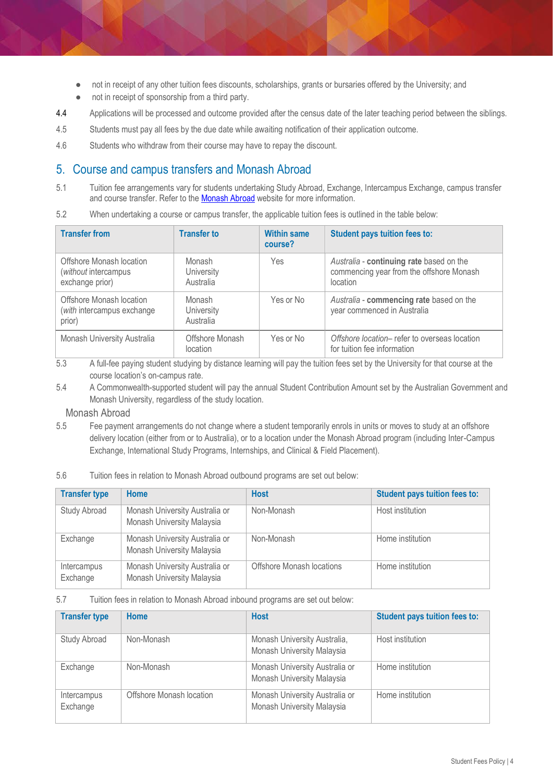- not in receipt of any other tuition fees discounts, scholarships, grants or bursaries offered by the University; and
- not in receipt of sponsorship from a third party.
- 4.4 Applications will be processed and outcome provided after the census date of the later teaching period between the siblings.
- 4.5 Students must pay all fees by the due date while awaiting notification of their application outcome.
- 4.6 Students who withdraw from their course may have to repay the discount.

## 5. Course and campus transfers and Monash Abroad

- 5.1 Tuition fee arrangements vary for students undertaking Study Abroad, Exchange, Intercampus Exchange, campus transfer and course transfer. Refer to t[he Monash Abroad](https://www.monash.edu/study-abroad) [w](https://www.monash.edu/study-abroad)ebsite for more information.
- 5.2 When undertaking a course or campus transfer, the applicable tuition fees is outlined in the table below:

| <b>Transfer from</b>                                                | <b>Transfer to</b>                       | <b>Within same</b><br>course? | <b>Student pays tuition fees to:</b>                                                             |
|---------------------------------------------------------------------|------------------------------------------|-------------------------------|--------------------------------------------------------------------------------------------------|
| Offshore Monash location<br>(without intercampus<br>exchange prior) | Monash<br><b>University</b><br>Australia | Yes                           | Australia - continuing rate based on the<br>commencing year from the offshore Monash<br>location |
| Offshore Monash location<br>(with intercampus exchange<br>prior)    | Monash<br><b>University</b><br>Australia | Yes or No                     | Australia - commencing rate based on the<br>year commenced in Australia                          |
| Monash University Australia                                         | Offshore Monash<br>location              | Yes or No                     | Offshore location- refer to overseas location<br>for tuition fee information                     |

5.3 A full-fee paying student studying by distance learning will pay the tuition fees set by the University for that course at the course location's on-campus rate.

5.4 A Commonwealth-supported student will pay the annual Student Contribution Amount set by the Australian Government and Monash University, regardless of the study location.

## Monash Abroad

- 5.5 Fee payment arrangements do not change where a student temporarily enrols in units or moves to study at an offshore delivery location (either from or to Australia), or to a location under the Monash Abroad program (including Inter-Campus Exchange, International Study Programs, Internships, and Clinical & Field Placement).
- 5.6 Tuition fees in relation to Monash Abroad outbound programs are set out below:

| <b>Transfer type</b>    | <b>Home</b>                                                  | <b>Host</b>               | <b>Student pays tuition fees to:</b> |
|-------------------------|--------------------------------------------------------------|---------------------------|--------------------------------------|
| Study Abroad            | Monash University Australia or<br>Monash University Malaysia | Non-Monash                | Host institution                     |
| Exchange                | Monash University Australia or<br>Monash University Malaysia | Non-Monash                | Home institution                     |
| Intercampus<br>Exchange | Monash University Australia or<br>Monash University Malaysia | Offshore Monash locations | Home institution                     |

5.7 Tuition fees in relation to Monash Abroad inbound programs are set out below:

| <b>Transfer type</b>    | Home                     | <b>Host</b>                                                  | <b>Student pays tuition fees to:</b> |
|-------------------------|--------------------------|--------------------------------------------------------------|--------------------------------------|
| <b>Study Abroad</b>     | Non-Monash               | Monash University Australia,<br>Monash University Malaysia   | Host institution                     |
| Exchange                | Non-Monash               | Monash University Australia or<br>Monash University Malaysia | Home institution                     |
| Intercampus<br>Exchange | Offshore Monash location | Monash University Australia or<br>Monash University Malaysia | Home institution                     |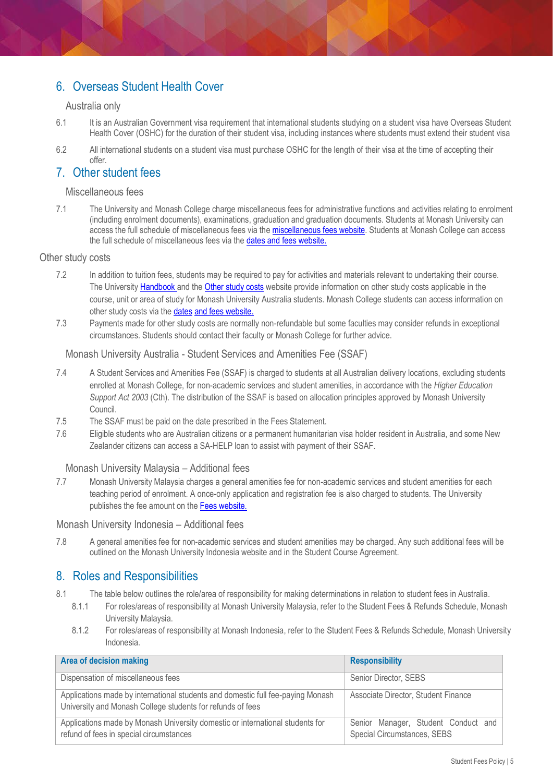## 6. Overseas Student Health Cover

## Australia only

- 6.1 It is an Australian Government visa requirement that international students studying on a student visa have Overseas Student Health Cover (OSHC) for the duration of their student visa, including instances where students must extend their student visa
- 6.2 All international students on a student visa must purchase OSHC for the length of their visa at the time of accepting their offer.

## 7. Other student fees

## Miscellaneous fees

7.1 The University and Monash College charge miscellaneous fees for administrative functions and activities relating to enrolment (including enrolment documents), examinations, graduation and graduation documents. Students at Monash University can access the full schedule of miscellaneous fees via the **miscellaneous fees website**. Students at Monash College can access the full schedule of miscellaneous fees via t[he dates and fees website.](https://www.monashcollege.edu.au/how-to-apply/dates-and-fees)

## Other study costs

- 7.2 In addition to tuition fees, students may be required to pay for activities and materials relevant to undertaking their course. The University [Handbook a](https://handbook.monash.edu/)nd th[e Other study costs](https://www.monash.edu/fees/other-costs/study) [w](https://www.monash.edu/fees/other-costs/study)ebsite provide information on other study costs applicable in the course, unit or area of study for Monash University Australia students. Monash College students can access information on other study costs via the [dates](https://www.monashcollege.edu.au/how-to-apply/dates-and-fees) [and fees website.](https://www.monashcollege.edu.au/how-to-apply/dates-and-fees)
- 7.3 Payments made for other study costs are normally non-refundable but some faculties may consider refunds in exceptional circumstances. Students should contact their faculty or Monash College for further advice.

## Monash University Australia - Student Services and Amenities Fee (SSAF)

- 7.4 A Student Services and Amenities Fee (SSAF) is charged to students at all Australian delivery locations, excluding students enrolled at Monash College, for non-academic services and student amenities, in accordance with the *Higher Education Support Act 2003* (Cth). The distribution of the SSAF is based on allocation principles approved by Monash University Council.
- 7.5 The SSAF must be paid on the date prescribed in the Fees Statement.
- 7.6 Eligible students who are Australian citizens or a permanent humanitarian visa holder resident in Australia, and some New Zealander citizens can access a SA-HELP loan to assist with payment of their SSAF.

## Monash University Malaysia – Additional fees

7.7 Monash University Malaysia charges a general amenities fee for non-academic services and student amenities for each teaching period of enrolment. A once-only application and registration fee is also charged to students. The University publishes the fee amount on th[e Fees website.](https://www.monash.edu.my/study/undergraduate/fees)

Monash University Indonesia – Additional fees

7.8 A general amenities fee for non-academic services and student amenities may be charged. Any such additional fees will be outlined on the Monash University Indonesia website and in the Student Course Agreement.

## 8. Roles and Responsibilities

- 8.1 The table below outlines the role/area of responsibility for making determinations in relation to student fees in Australia.
	- 8.1.1 For roles/areas of responsibility at Monash University Malaysia, refer to the Student Fees & Refunds Schedule, Monash University Malaysia.
	- 8.1.2 For roles/areas of responsibility at Monash Indonesia, refer to the Student Fees & Refunds Schedule, Monash University Indonesia.

| <b>Area of decision making</b>                                                                                                                | <b>Responsibility</b>                                              |
|-----------------------------------------------------------------------------------------------------------------------------------------------|--------------------------------------------------------------------|
| Dispensation of miscellaneous fees                                                                                                            | Senior Director, SEBS                                              |
| Applications made by international students and domestic full fee-paying Monash<br>University and Monash College students for refunds of fees | Associate Director, Student Finance                                |
| Applications made by Monash University domestic or international students for<br>refund of fees in special circumstances                      | Senior Manager, Student Conduct and<br>Special Circumstances, SEBS |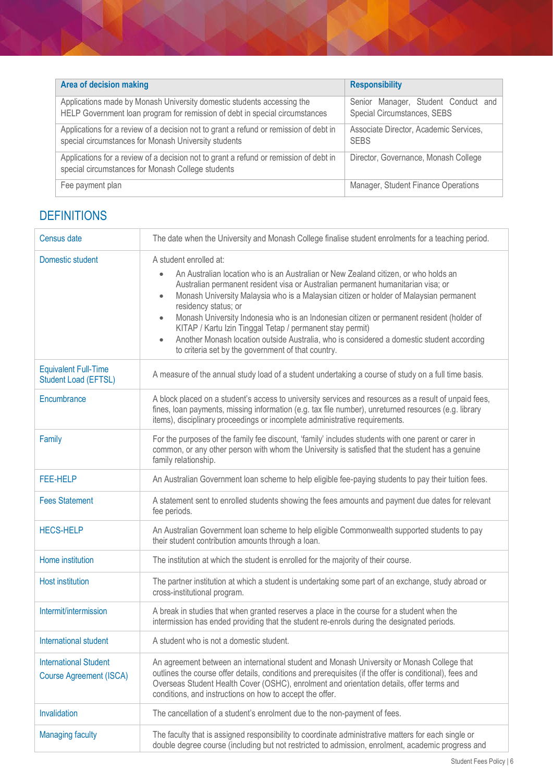| Area of decision making                                                                                                                               | <b>Responsibility</b>                                              |
|-------------------------------------------------------------------------------------------------------------------------------------------------------|--------------------------------------------------------------------|
| Applications made by Monash University domestic students accessing the<br>HELP Government loan program for remission of debt in special circumstances | Senior Manager, Student Conduct and<br>Special Circumstances, SEBS |
| Applications for a review of a decision not to grant a refund or remission of debt in<br>special circumstances for Monash University students         | Associate Director, Academic Services,<br><b>SEBS</b>              |
| Applications for a review of a decision not to grant a refund or remission of debt in<br>special circumstances for Monash College students            | Director, Governance, Monash College                               |
| Fee payment plan                                                                                                                                      | Manager, Student Finance Operations                                |

# **DEFINITIONS**

| Census date                                                    | The date when the University and Monash College finalise student enrolments for a teaching period.                                                                                                                                                                                                                                                                                                                                                                                                                                                                                                                                                                                   |
|----------------------------------------------------------------|--------------------------------------------------------------------------------------------------------------------------------------------------------------------------------------------------------------------------------------------------------------------------------------------------------------------------------------------------------------------------------------------------------------------------------------------------------------------------------------------------------------------------------------------------------------------------------------------------------------------------------------------------------------------------------------|
| Domestic student                                               | A student enrolled at:<br>An Australian location who is an Australian or New Zealand citizen, or who holds an<br>$\bullet$<br>Australian permanent resident visa or Australian permanent humanitarian visa; or<br>Monash University Malaysia who is a Malaysian citizen or holder of Malaysian permanent<br>$\bullet$<br>residency status; or<br>Monash University Indonesia who is an Indonesian citizen or permanent resident (holder of<br>$\bullet$<br>KITAP / Kartu Izin Tinggal Tetap / permanent stay permit)<br>Another Monash location outside Australia, who is considered a domestic student according<br>$\bullet$<br>to criteria set by the government of that country. |
| <b>Equivalent Full-Time</b><br>Student Load (EFTSL)            | A measure of the annual study load of a student undertaking a course of study on a full time basis.                                                                                                                                                                                                                                                                                                                                                                                                                                                                                                                                                                                  |
| Encumbrance                                                    | A block placed on a student's access to university services and resources as a result of unpaid fees,<br>fines, loan payments, missing information (e.g. tax file number), unreturned resources (e.g. library<br>items), disciplinary proceedings or incomplete administrative requirements.                                                                                                                                                                                                                                                                                                                                                                                         |
| Family                                                         | For the purposes of the family fee discount, 'family' includes students with one parent or carer in<br>common, or any other person with whom the University is satisfied that the student has a genuine<br>family relationship.                                                                                                                                                                                                                                                                                                                                                                                                                                                      |
| <b>FEE-HELP</b>                                                | An Australian Government loan scheme to help eligible fee-paying students to pay their tuition fees.                                                                                                                                                                                                                                                                                                                                                                                                                                                                                                                                                                                 |
| <b>Fees Statement</b>                                          | A statement sent to enrolled students showing the fees amounts and payment due dates for relevant<br>fee periods.                                                                                                                                                                                                                                                                                                                                                                                                                                                                                                                                                                    |
| <b>HECS-HELP</b>                                               | An Australian Government loan scheme to help eligible Commonwealth supported students to pay<br>their student contribution amounts through a loan.                                                                                                                                                                                                                                                                                                                                                                                                                                                                                                                                   |
| Home institution                                               | The institution at which the student is enrolled for the majority of their course.                                                                                                                                                                                                                                                                                                                                                                                                                                                                                                                                                                                                   |
| <b>Host institution</b>                                        | The partner institution at which a student is undertaking some part of an exchange, study abroad or<br>cross-institutional program.                                                                                                                                                                                                                                                                                                                                                                                                                                                                                                                                                  |
| Intermit/intermission                                          | A break in studies that when granted reserves a place in the course for a student when the<br>intermission has ended providing that the student re-enrols during the designated periods.                                                                                                                                                                                                                                                                                                                                                                                                                                                                                             |
| International student                                          | A student who is not a domestic student.                                                                                                                                                                                                                                                                                                                                                                                                                                                                                                                                                                                                                                             |
| <b>International Student</b><br><b>Course Agreement (ISCA)</b> | An agreement between an international student and Monash University or Monash College that<br>outlines the course offer details, conditions and prerequisites (if the offer is conditional), fees and<br>Overseas Student Health Cover (OSHC), enrolment and orientation details, offer terms and<br>conditions, and instructions on how to accept the offer.                                                                                                                                                                                                                                                                                                                        |
| Invalidation                                                   | The cancellation of a student's enrolment due to the non-payment of fees.                                                                                                                                                                                                                                                                                                                                                                                                                                                                                                                                                                                                            |
| <b>Managing faculty</b>                                        | The faculty that is assigned responsibility to coordinate administrative matters for each single or<br>double degree course (including but not restricted to admission, enrolment, academic progress and                                                                                                                                                                                                                                                                                                                                                                                                                                                                             |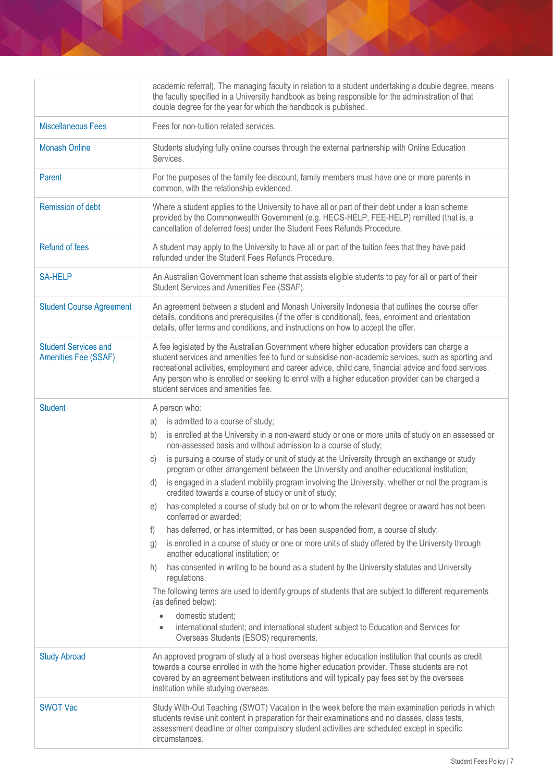| academic referral). The managing faculty in relation to a student undertaking a double degree, means<br>the faculty specified in a University handbook as being responsible for the administration of that                                                                                                                                                                                                                                                                                                                                                                                                                                                                                                                                                                                                                                                                                                                                                                                                                                                                                                                                                                                                                                                                                                                                                                                                       |
|------------------------------------------------------------------------------------------------------------------------------------------------------------------------------------------------------------------------------------------------------------------------------------------------------------------------------------------------------------------------------------------------------------------------------------------------------------------------------------------------------------------------------------------------------------------------------------------------------------------------------------------------------------------------------------------------------------------------------------------------------------------------------------------------------------------------------------------------------------------------------------------------------------------------------------------------------------------------------------------------------------------------------------------------------------------------------------------------------------------------------------------------------------------------------------------------------------------------------------------------------------------------------------------------------------------------------------------------------------------------------------------------------------------|
| double degree for the year for which the handbook is published.                                                                                                                                                                                                                                                                                                                                                                                                                                                                                                                                                                                                                                                                                                                                                                                                                                                                                                                                                                                                                                                                                                                                                                                                                                                                                                                                                  |
| Fees for non-tuition related services.                                                                                                                                                                                                                                                                                                                                                                                                                                                                                                                                                                                                                                                                                                                                                                                                                                                                                                                                                                                                                                                                                                                                                                                                                                                                                                                                                                           |
| Students studying fully online courses through the external partnership with Online Education<br>Services.                                                                                                                                                                                                                                                                                                                                                                                                                                                                                                                                                                                                                                                                                                                                                                                                                                                                                                                                                                                                                                                                                                                                                                                                                                                                                                       |
| For the purposes of the family fee discount, family members must have one or more parents in<br>common, with the relationship evidenced.                                                                                                                                                                                                                                                                                                                                                                                                                                                                                                                                                                                                                                                                                                                                                                                                                                                                                                                                                                                                                                                                                                                                                                                                                                                                         |
| Where a student applies to the University to have all or part of their debt under a loan scheme<br>provided by the Commonwealth Government (e.g. HECS-HELP, FEE-HELP) remitted (that is, a<br>cancellation of deferred fees) under the Student Fees Refunds Procedure.                                                                                                                                                                                                                                                                                                                                                                                                                                                                                                                                                                                                                                                                                                                                                                                                                                                                                                                                                                                                                                                                                                                                           |
| A student may apply to the University to have all or part of the tuition fees that they have paid<br>refunded under the Student Fees Refunds Procedure.                                                                                                                                                                                                                                                                                                                                                                                                                                                                                                                                                                                                                                                                                                                                                                                                                                                                                                                                                                                                                                                                                                                                                                                                                                                          |
| An Australian Government loan scheme that assists eligible students to pay for all or part of their<br>Student Services and Amenities Fee (SSAF).                                                                                                                                                                                                                                                                                                                                                                                                                                                                                                                                                                                                                                                                                                                                                                                                                                                                                                                                                                                                                                                                                                                                                                                                                                                                |
| An agreement between a student and Monash University Indonesia that outlines the course offer<br>details, conditions and prerequisites (if the offer is conditional), fees, enrolment and orientation<br>details, offer terms and conditions, and instructions on how to accept the offer.                                                                                                                                                                                                                                                                                                                                                                                                                                                                                                                                                                                                                                                                                                                                                                                                                                                                                                                                                                                                                                                                                                                       |
| A fee legislated by the Australian Government where higher education providers can charge a<br>student services and amenities fee to fund or subsidise non-academic services, such as sporting and<br>recreational activities, employment and career advice, child care, financial advice and food services.<br>Any person who is enrolled or seeking to enrol with a higher education provider can be charged a<br>student services and amenities fee.                                                                                                                                                                                                                                                                                                                                                                                                                                                                                                                                                                                                                                                                                                                                                                                                                                                                                                                                                          |
| A person who:<br>is admitted to a course of study;<br>a)<br>is enrolled at the University in a non-award study or one or more units of study on an assessed or<br>b)<br>non-assessed basis and without admission to a course of study;<br>is pursuing a course of study or unit of study at the University through an exchange or study<br>C)<br>program or other arrangement between the University and another educational institution;<br>is engaged in a student mobility program involving the University, whether or not the program is<br>d)<br>credited towards a course of study or unit of study;<br>has completed a course of study but on or to whom the relevant degree or award has not been<br>e)<br>conferred or awarded;<br>has deferred, or has intermitted, or has been suspended from, a course of study;<br>f)<br>is enrolled in a course of study or one or more units of study offered by the University through<br>g)<br>another educational institution; or<br>has consented in writing to be bound as a student by the University statutes and University<br>h)<br>regulations.<br>The following terms are used to identify groups of students that are subject to different requirements<br>(as defined below):<br>domestic student;<br>international student; and international student subject to Education and Services for<br>$\bullet$<br>Overseas Students (ESOS) requirements. |
| An approved program of study at a host overseas higher education institution that counts as credit<br>towards a course enrolled in with the home higher education provider. These students are not<br>covered by an agreement between institutions and will typically pay fees set by the overseas<br>institution while studying overseas.                                                                                                                                                                                                                                                                                                                                                                                                                                                                                                                                                                                                                                                                                                                                                                                                                                                                                                                                                                                                                                                                       |
| Study With-Out Teaching (SWOT) Vacation in the week before the main examination periods in which<br>students revise unit content in preparation for their examinations and no classes, class tests,<br>assessment deadline or other compulsory student activities are scheduled except in specific<br>circumstances.                                                                                                                                                                                                                                                                                                                                                                                                                                                                                                                                                                                                                                                                                                                                                                                                                                                                                                                                                                                                                                                                                             |
|                                                                                                                                                                                                                                                                                                                                                                                                                                                                                                                                                                                                                                                                                                                                                                                                                                                                                                                                                                                                                                                                                                                                                                                                                                                                                                                                                                                                                  |